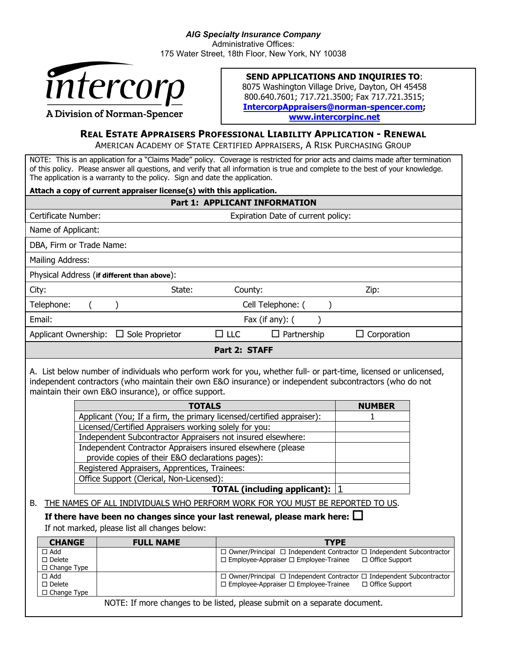

## **SEND APPLICATIONS AND INQUIRIES TO**:

8075 Washington Village Drive, Dayton, OH 45458 800.640.7601; 717.721.3500; Fax 717.721.3515; **IntercorpAppraisers@norman-spencer.com; www.intercorpinc.net**

## **REAL ESTATE APPRAISERS PROFESSIONAL LIABILITY APPLICATION - RENEWAL**

AMERICAN ACADEMY OF STATE CERTIFIED APPRAISERS, A RISK PURCHASING GROUP

NOTE: This is an application for a "Claims Made" policy. Coverage is restricted for prior acts and claims made after termination of this policy. Please answer all questions, and verify that all information is true and complete to the best of your knowledge. The application is a warranty to the policy. Sign and date the application.

| Attach a copy of current appraiser license(s) with this application.                                                                                                                                                                                                                                                                                                                                                                                                                                                                                                                                                                                                                                                                                                                                                                                                                                                                                               |                                         |                                                                                                           |  |
|--------------------------------------------------------------------------------------------------------------------------------------------------------------------------------------------------------------------------------------------------------------------------------------------------------------------------------------------------------------------------------------------------------------------------------------------------------------------------------------------------------------------------------------------------------------------------------------------------------------------------------------------------------------------------------------------------------------------------------------------------------------------------------------------------------------------------------------------------------------------------------------------------------------------------------------------------------------------|-----------------------------------------|-----------------------------------------------------------------------------------------------------------|--|
| <b>Part 1: APPLICANT INFORMATION</b>                                                                                                                                                                                                                                                                                                                                                                                                                                                                                                                                                                                                                                                                                                                                                                                                                                                                                                                               |                                         |                                                                                                           |  |
| Certificate Number:                                                                                                                                                                                                                                                                                                                                                                                                                                                                                                                                                                                                                                                                                                                                                                                                                                                                                                                                                | Expiration Date of current policy:      |                                                                                                           |  |
| Name of Applicant:                                                                                                                                                                                                                                                                                                                                                                                                                                                                                                                                                                                                                                                                                                                                                                                                                                                                                                                                                 |                                         |                                                                                                           |  |
| DBA, Firm or Trade Name:                                                                                                                                                                                                                                                                                                                                                                                                                                                                                                                                                                                                                                                                                                                                                                                                                                                                                                                                           |                                         |                                                                                                           |  |
| Mailing Address:                                                                                                                                                                                                                                                                                                                                                                                                                                                                                                                                                                                                                                                                                                                                                                                                                                                                                                                                                   |                                         |                                                                                                           |  |
| Physical Address (if different than above):                                                                                                                                                                                                                                                                                                                                                                                                                                                                                                                                                                                                                                                                                                                                                                                                                                                                                                                        |                                         |                                                                                                           |  |
| City:<br>State:                                                                                                                                                                                                                                                                                                                                                                                                                                                                                                                                                                                                                                                                                                                                                                                                                                                                                                                                                    | County:                                 | Zip:                                                                                                      |  |
| Telephone:<br>$\lambda$<br>(                                                                                                                                                                                                                                                                                                                                                                                                                                                                                                                                                                                                                                                                                                                                                                                                                                                                                                                                       | Cell Telephone: (<br>$\mathcal{E}$      |                                                                                                           |  |
| Email:                                                                                                                                                                                                                                                                                                                                                                                                                                                                                                                                                                                                                                                                                                                                                                                                                                                                                                                                                             | Fax (if any): (                         |                                                                                                           |  |
| Applicant Ownership: □ Sole Proprietor                                                                                                                                                                                                                                                                                                                                                                                                                                                                                                                                                                                                                                                                                                                                                                                                                                                                                                                             | $\square$ LLC<br>$\Box$ Partnership     | $\Box$ Corporation                                                                                        |  |
|                                                                                                                                                                                                                                                                                                                                                                                                                                                                                                                                                                                                                                                                                                                                                                                                                                                                                                                                                                    | Part 2: STAFF                           |                                                                                                           |  |
| A. List below number of individuals who perform work for you, whether full- or part-time, licensed or unlicensed,<br>independent contractors (who maintain their own E&O insurance) or independent subcontractors (who do not<br>maintain their own E&O insurance), or office support.<br><b>TOTALS</b><br><b>NUMBER</b><br>Applicant (You; If a firm, the primary licensed/certified appraiser):<br>1<br>Licensed/Certified Appraisers working solely for you:<br>Independent Subcontractor Appraisers not insured elsewhere:<br>Independent Contractor Appraisers insured elsewhere (please<br>provide copies of their E&O declarations pages):<br>Registered Appraisers, Apprentices, Trainees:<br>Office Support (Clerical, Non-Licensed):<br><b>TOTAL (including applicant):</b><br>THE NAMES OF ALL INDIVIDUALS WHO PERFORM WORK FOR YOU MUST BE REPORTED TO US.<br>В.<br>If there have been no changes since your last renewal, please mark here: $\square$ |                                         |                                                                                                           |  |
|                                                                                                                                                                                                                                                                                                                                                                                                                                                                                                                                                                                                                                                                                                                                                                                                                                                                                                                                                                    |                                         |                                                                                                           |  |
| If not marked, please list all changes below:                                                                                                                                                                                                                                                                                                                                                                                                                                                                                                                                                                                                                                                                                                                                                                                                                                                                                                                      |                                         |                                                                                                           |  |
| <b>FULL NAME</b><br><b>CHANGE</b>                                                                                                                                                                                                                                                                                                                                                                                                                                                                                                                                                                                                                                                                                                                                                                                                                                                                                                                                  |                                         | <b>TYPE</b>                                                                                               |  |
| $\Box$ Add<br>$\Box$ Delete                                                                                                                                                                                                                                                                                                                                                                                                                                                                                                                                                                                                                                                                                                                                                                                                                                                                                                                                        | □ Employee-Appraiser □ Employee-Trainee | $\Box$ Owner/Principal $\Box$ Independent Contractor $\Box$ Independent Subcontractor<br>□ Office Support |  |
| □ Change Type<br>$\Box$ Add<br>$\square$ Delete<br>$\Box$ Change Type                                                                                                                                                                                                                                                                                                                                                                                                                                                                                                                                                                                                                                                                                                                                                                                                                                                                                              | □ Employee-Appraiser □ Employee-Trainee | $\Box$ Owner/Principal $\Box$ Independent Contractor $\Box$ Independent Subcontractor<br>□ Office Support |  |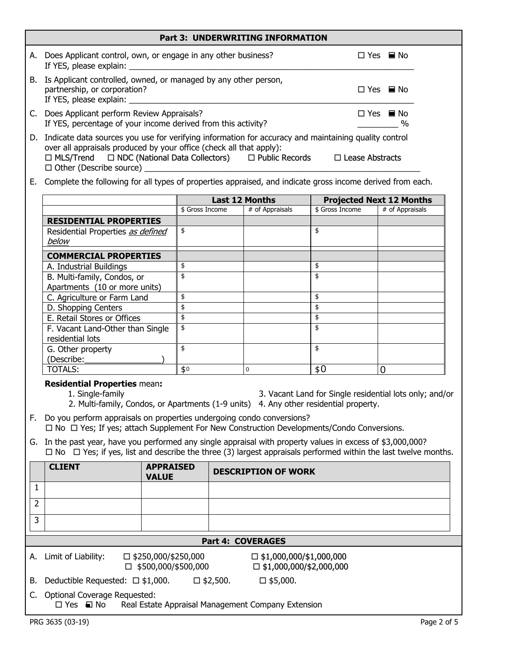| <b>Part 3: UNDERWRITING INFORMATION</b> |                                                                                                                                                                                                                                                                                                            |                                      |  |
|-----------------------------------------|------------------------------------------------------------------------------------------------------------------------------------------------------------------------------------------------------------------------------------------------------------------------------------------------------------|--------------------------------------|--|
|                                         | A. Does Applicant control, own, or engage in any other business?<br>If YES, please explain:                                                                                                                                                                                                                | $\Box$ Yes $\blacksquare$ No         |  |
|                                         | B. Is Applicant controlled, owned, or managed by any other person,<br>partnership, or corporation?<br>If YES, please explain: ______                                                                                                                                                                       | $\Box$ Yes $\blacksquare$ No         |  |
|                                         | C. Does Applicant perform Review Appraisals?<br>If YES, percentage of your income derived from this activity?                                                                                                                                                                                              | $\Box$ Yes $\blacksquare$ No<br>$\%$ |  |
|                                         | D. Indicate data sources you use for verifying information for accuracy and maintaining quality control<br>over all appraisals produced by your office (check all that apply):<br>□ MLS/Trend □ NDC (National Data Collectors) □ Public Records □ Lease Abstracts<br>$\Box$ Other (Describe source) $\Box$ |                                      |  |
|                                         | E. Complete the following for all types of properties appraised, and indicate gross income derived from each.                                                                                                                                                                                              |                                      |  |

|                                                      | <b>Last 12 Months</b> |                 | <b>Projected Next 12 Months</b> |                 |
|------------------------------------------------------|-----------------------|-----------------|---------------------------------|-----------------|
|                                                      | \$ Gross Income       | # of Appraisals | \$ Gross Income                 | # of Appraisals |
| <b>RESIDENTIAL PROPERTIES</b>                        |                       |                 |                                 |                 |
| Residential Properties as defined<br>below           | \$                    |                 | \$                              |                 |
| <b>COMMERCIAL PROPERTIES</b>                         |                       |                 |                                 |                 |
| A. Industrial Buildings                              | \$                    |                 | \$                              |                 |
| B. Multi-family, Condos, or                          | \$                    |                 | \$                              |                 |
| Apartments (10 or more units)                        |                       |                 |                                 |                 |
| C. Agriculture or Farm Land                          | \$                    |                 | \$                              |                 |
| D. Shopping Centers                                  | \$                    |                 | \$                              |                 |
| E. Retail Stores or Offices                          | \$                    |                 | \$                              |                 |
| F. Vacant Land-Other than Single<br>residential lots | \$                    |                 | \$                              |                 |
| G. Other property                                    | \$                    |                 | \$                              |                 |
| (Describe:                                           |                       |                 |                                 |                 |
| <b>TOTALS:</b>                                       | \$0                   | $\mathbf 0$     | \$0                             | ∩               |

## **Residential Properties** mean**:**

1. Single-family 3. Vacant Land for Single residential lots only; and/or 2. Multi-family, Condos, or Apartments (1-9 units) 4. Any other residential property.

F. Do you perform appraisals on properties undergoing condo conversions?

□ No □ Yes; If yes; attach Supplement For New Construction Developments/Condo Conversions.

G. In the past year, have you performed any single appraisal with property values in excess of \$3,000,000?  $\Box$  No  $\Box$  Yes; if yes, list and describe the three (3) largest appraisals performed within the last twelve months.

|                | <b>CLIENT</b>                                              | <b>APPRAISED</b><br><b>VALUE</b>                         | <b>DESCRIPTION OF WORK</b>                                       |  |  |
|----------------|------------------------------------------------------------|----------------------------------------------------------|------------------------------------------------------------------|--|--|
|                |                                                            |                                                          |                                                                  |  |  |
| $\overline{2}$ |                                                            |                                                          |                                                                  |  |  |
| 3              |                                                            |                                                          |                                                                  |  |  |
|                | <b>Part 4: COVERAGES</b>                                   |                                                          |                                                                  |  |  |
| А.             | Limit of Liability:                                        | $\Box$ \$250,000/\$250,000<br>$\Box$ \$500,000/\$500,000 | $\Box$ \$1,000,000/\$1,000,000<br>$\Box$ \$1,000,000/\$2,000,000 |  |  |
| В.             | Deductible Requested: $\Box$ \$1,000.                      |                                                          | $\square$ \$2,500.<br>$\square$ \$5,000.                         |  |  |
| C.             | Optional Coverage Requested:<br>$\square$ Yes $\square$ No |                                                          | Real Estate Appraisal Management Company Extension               |  |  |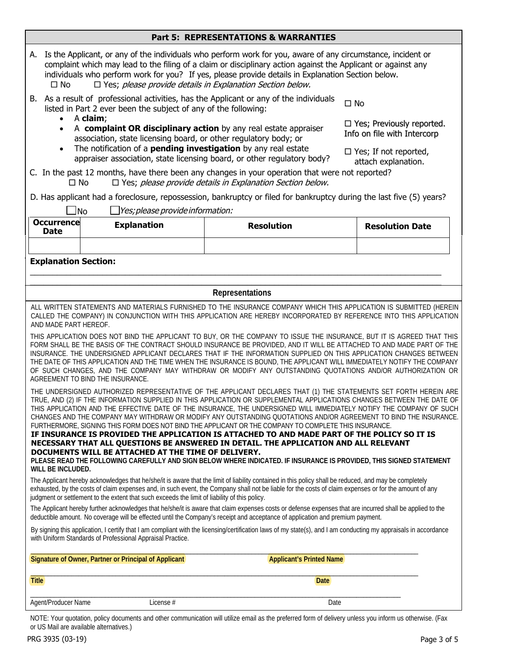|  | <b>Part 5: REPRESENTATIONS &amp; WARRANTIES</b> |
|--|-------------------------------------------------|
|--|-------------------------------------------------|

| A. Is the Applicant, or any of the individuals who perform work for you, aware of any circumstance, incident or<br>complaint which may lead to the filing of a claim or disciplinary action against the Applicant or against any<br>individuals who perform work for you? If yes, please provide details in Explanation Section below.<br>$\Box$ Yes; please provide details in Explanation Section below.<br>$\square$ No                                                                                                                                                                                                                                                                                                                                                                                                                       |                                                                                                                                                                           |                                                                                                                                                                                                                                            |                                                                 |  |
|--------------------------------------------------------------------------------------------------------------------------------------------------------------------------------------------------------------------------------------------------------------------------------------------------------------------------------------------------------------------------------------------------------------------------------------------------------------------------------------------------------------------------------------------------------------------------------------------------------------------------------------------------------------------------------------------------------------------------------------------------------------------------------------------------------------------------------------------------|---------------------------------------------------------------------------------------------------------------------------------------------------------------------------|--------------------------------------------------------------------------------------------------------------------------------------------------------------------------------------------------------------------------------------------|-----------------------------------------------------------------|--|
|                                                                                                                                                                                                                                                                                                                                                                                                                                                                                                                                                                                                                                                                                                                                                                                                                                                  | B. As a result of professional activities, has the Applicant or any of the individuals<br>$\square$ No<br>listed in Part 2 ever been the subject of any of the following: |                                                                                                                                                                                                                                            |                                                                 |  |
| $\bullet$<br>$\bullet$                                                                                                                                                                                                                                                                                                                                                                                                                                                                                                                                                                                                                                                                                                                                                                                                                           | A claim;<br>association, state licensing board, or other regulatory body; or                                                                                              | A complaint OR disciplinary action by any real estate appraiser                                                                                                                                                                            | $\Box$ Yes; Previously reported.<br>Info on file with Intercorp |  |
| $\bullet$                                                                                                                                                                                                                                                                                                                                                                                                                                                                                                                                                                                                                                                                                                                                                                                                                                        | The notification of a <b>pending investigation</b> by any real estate                                                                                                     | appraiser association, state licensing board, or other regulatory body?                                                                                                                                                                    | $\Box$ Yes; If not reported,<br>attach explanation.             |  |
| $\square$ No                                                                                                                                                                                                                                                                                                                                                                                                                                                                                                                                                                                                                                                                                                                                                                                                                                     |                                                                                                                                                                           | C. In the past 12 months, have there been any changes in your operation that were not reported?<br>$\Box$ Yes; please provide details in Explanation Section below.                                                                        |                                                                 |  |
|                                                                                                                                                                                                                                                                                                                                                                                                                                                                                                                                                                                                                                                                                                                                                                                                                                                  |                                                                                                                                                                           | D. Has applicant had a foreclosure, repossession, bankruptcy or filed for bankruptcy during the last five (5) years?                                                                                                                       |                                                                 |  |
| _No                                                                                                                                                                                                                                                                                                                                                                                                                                                                                                                                                                                                                                                                                                                                                                                                                                              | $\Box$ Yes; please provide information:                                                                                                                                   |                                                                                                                                                                                                                                            |                                                                 |  |
| <b>Occurrence</b><br><b>Date</b>                                                                                                                                                                                                                                                                                                                                                                                                                                                                                                                                                                                                                                                                                                                                                                                                                 | <b>Explanation</b>                                                                                                                                                        | <b>Resolution</b>                                                                                                                                                                                                                          | <b>Resolution Date</b>                                          |  |
|                                                                                                                                                                                                                                                                                                                                                                                                                                                                                                                                                                                                                                                                                                                                                                                                                                                  |                                                                                                                                                                           |                                                                                                                                                                                                                                            |                                                                 |  |
| <b>Explanation Section:</b>                                                                                                                                                                                                                                                                                                                                                                                                                                                                                                                                                                                                                                                                                                                                                                                                                      |                                                                                                                                                                           |                                                                                                                                                                                                                                            |                                                                 |  |
|                                                                                                                                                                                                                                                                                                                                                                                                                                                                                                                                                                                                                                                                                                                                                                                                                                                  |                                                                                                                                                                           | <b>Representations</b>                                                                                                                                                                                                                     |                                                                 |  |
| AND MADE PART HEREOF.                                                                                                                                                                                                                                                                                                                                                                                                                                                                                                                                                                                                                                                                                                                                                                                                                            |                                                                                                                                                                           | ALL WRITTEN STATEMENTS AND MATERIALS FURNISHED TO THE INSURANCE COMPANY WHICH THIS APPLICATION IS SUBMITTED (HEREIN<br>CALLED THE COMPANY) IN CONJUNCTION WITH THIS APPLICATION ARE HEREBY INCORPORATED BY REFERENCE INTO THIS APPLICATION |                                                                 |  |
| THIS APPLICATION DOES NOT BIND THE APPLICANT TO BUY, OR THE COMPANY TO ISSUE THE INSURANCE, BUT IT IS AGREED THAT THIS<br>FORM SHALL BE THE BASIS OF THE CONTRACT SHOULD INSURANCE BE PROVIDED, AND IT WILL BE ATTACHED TO AND MADE PART OF THE<br>INSURANCE. THE UNDERSIGNED APPLICANT DECLARES THAT IF THE INFORMATION SUPPLIED ON THIS APPLICATION CHANGES BETWEEN<br>THE DATE OF THIS APPLICATION AND THE TIME WHEN THE INSURANCE IS BOUND, THE APPLICANT WILL IMMEDIATELY NOTIFY THE COMPANY<br>OF SUCH CHANGES, AND THE COMPANY MAY WITHDRAW OR MODIFY ANY OUTSTANDING QUOTATIONS AND/OR AUTHORIZATION OR<br>AGREEMENT TO BIND THE INSURANCE.                                                                                                                                                                                              |                                                                                                                                                                           |                                                                                                                                                                                                                                            |                                                                 |  |
| THE UNDERSIGNED AUTHORIZED REPRESENTATIVE OF THE APPLICANT DECLARES THAT (1) THE STATEMENTS SET FORTH HEREIN ARE<br>TRUE, AND (2) IF THE INFORMATION SUPPLIED IN THIS APPLICATION OR SUPPLEMENTAL APPLICATIONS CHANGES BETWEEN THE DATE OF<br>THIS APPLICATION AND THE EFFECTIVE DATE OF THE INSURANCE, THE UNDERSIGNED WILL IMMEDIATELY NOTIFY THE COMPANY OF SUCH<br>CHANGES AND THE COMPANY MAY WITHDRAW OR MODIFY ANY OUTSTANDING QUOTATIONS AND/OR AGREEMENT TO BIND THE INSURANCE.<br>FURTHERMORE, SIGNING THIS FORM DOES NOT BIND THE APPLICANT OR THE COMPANY TO COMPLETE THIS INSURANCE.<br>IF INSURANCE IS PROVIDED THE APPLICATION IS ATTACHED TO AND MADE PART OF THE POLICY SO IT IS<br>NECESSARY THAT ALL QUESTIONS BE ANSWERED IN DETAIL. THE APPLICATION AND ALL RELEVANT<br>DOCUMENTS WILL BE ATTACHED AT THE TIME OF DELIVERY. |                                                                                                                                                                           |                                                                                                                                                                                                                                            |                                                                 |  |
| PLEASE READ THE FOLLOWING CAREFULLY AND SIGN BELOW WHERE INDICATED. IF INSURANCE IS PROVIDED, THIS SIGNED STATEMENT<br>WILL BE INCLUDED.                                                                                                                                                                                                                                                                                                                                                                                                                                                                                                                                                                                                                                                                                                         |                                                                                                                                                                           |                                                                                                                                                                                                                                            |                                                                 |  |
| The Applicant hereby acknowledges that he/she/it is aware that the limit of liability contained in this policy shall be reduced, and may be completely<br>exhausted, by the costs of claim expenses and, in such event, the Company shall not be liable for the costs of claim expenses or for the amount of any<br>judgment or settlement to the extent that such exceeds the limit of liability of this policy.                                                                                                                                                                                                                                                                                                                                                                                                                                |                                                                                                                                                                           |                                                                                                                                                                                                                                            |                                                                 |  |
| The Applicant hereby further acknowledges that he/she/it is aware that claim expenses costs or defense expenses that are incurred shall be applied to the<br>deductible amount. No coverage will be effected until the Company's receipt and acceptance of application and premium payment.                                                                                                                                                                                                                                                                                                                                                                                                                                                                                                                                                      |                                                                                                                                                                           |                                                                                                                                                                                                                                            |                                                                 |  |
| By signing this application, I certify that I am compliant with the licensing/certification laws of my state(s), and I am conducting my appraisals in accordance<br>with Uniform Standards of Professional Appraisal Practice.                                                                                                                                                                                                                                                                                                                                                                                                                                                                                                                                                                                                                   |                                                                                                                                                                           |                                                                                                                                                                                                                                            |                                                                 |  |
| Signature of Owner, Partner or Principal of Applicant<br><b>Applicant's Printed Name</b>                                                                                                                                                                                                                                                                                                                                                                                                                                                                                                                                                                                                                                                                                                                                                         |                                                                                                                                                                           |                                                                                                                                                                                                                                            |                                                                 |  |
| <b>Title</b>                                                                                                                                                                                                                                                                                                                                                                                                                                                                                                                                                                                                                                                                                                                                                                                                                                     |                                                                                                                                                                           | <b>Date</b>                                                                                                                                                                                                                                |                                                                 |  |
| Agent/Producer Name                                                                                                                                                                                                                                                                                                                                                                                                                                                                                                                                                                                                                                                                                                                                                                                                                              | License #                                                                                                                                                                 | Date                                                                                                                                                                                                                                       |                                                                 |  |
|                                                                                                                                                                                                                                                                                                                                                                                                                                                                                                                                                                                                                                                                                                                                                                                                                                                  |                                                                                                                                                                           | NOTE: Your quotation, policy documents and other communication will utilize email as the preferred form of delivery unless you inform us otherwise (Eav                                                                                    |                                                                 |  |

 $\,$  and other communication will utilize email as the preferred form of delivery unless you inform us otherwise. (Fax NOTE: Your quotation, policy documen<br>or US Mail are available alternatives.)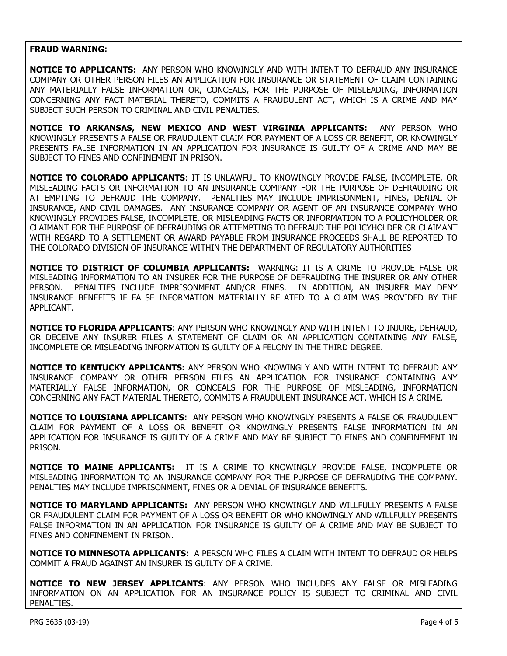## **FRAUD WARNING:**

**NOTICE TO APPLICANTS:** ANY PERSON WHO KNOWINGLY AND WITH INTENT TO DEFRAUD ANY INSURANCE COMPANY OR OTHER PERSON FILES AN APPLICATION FOR INSURANCE OR STATEMENT OF CLAIM CONTAINING ANY MATERIALLY FALSE INFORMATION OR, CONCEALS, FOR THE PURPOSE OF MISLEADING, INFORMATION CONCERNING ANY FACT MATERIAL THERETO, COMMITS A FRAUDULENT ACT, WHICH IS A CRIME AND MAY SUBJECT SUCH PERSON TO CRIMINAL AND CIVIL PENALTIES.

**NOTICE TO ARKANSAS, NEW MEXICO AND WEST VIRGINIA APPLICANTS:** ANY PERSON WHO KNOWINGLY PRESENTS A FALSE OR FRAUDULENT CLAIM FOR PAYMENT OF A LOSS OR BENEFIT, OR KNOWINGLY PRESENTS FALSE INFORMATION IN AN APPLICATION FOR INSURANCE IS GUILTY OF A CRIME AND MAY BE SUBJECT TO FINES AND CONFINEMENT IN PRISON.

**NOTICE TO COLORADO APPLICANTS**: IT IS UNLAWFUL TO KNOWINGLY PROVIDE FALSE, INCOMPLETE, OR MISLEADING FACTS OR INFORMATION TO AN INSURANCE COMPANY FOR THE PURPOSE OF DEFRAUDING OR ATTEMPTING TO DEFRAUD THE COMPANY. PENALTIES MAY INCLUDE IMPRISONMENT, FINES, DENIAL OF INSURANCE, AND CIVIL DAMAGES. ANY INSURANCE COMPANY OR AGENT OF AN INSURANCE COMPANY WHO KNOWINGLY PROVIDES FALSE, INCOMPLETE, OR MISLEADING FACTS OR INFORMATION TO A POLICYHOLDER OR CLAIMANT FOR THE PURPOSE OF DEFRAUDING OR ATTEMPTING TO DEFRAUD THE POLICYHOLDER OR CLAIMANT WITH REGARD TO A SETTLEMENT OR AWARD PAYABLE FROM INSURANCE PROCEEDS SHALL BE REPORTED TO THE COLORADO DIVISION OF INSURANCE WITHIN THE DEPARTMENT OF REGULATORY AUTHORITIES

**NOTICE TO DISTRICT OF COLUMBIA APPLICANTS:** WARNING: IT IS A CRIME TO PROVIDE FALSE OR MISLEADING INFORMATION TO AN INSURER FOR THE PURPOSE OF DEFRAUDING THE INSURER OR ANY OTHER PERSON. PENALTIES INCLUDE IMPRISONMENT AND/OR FINES. IN ADDITION, AN INSURER MAY DENY INSURANCE BENEFITS IF FALSE INFORMATION MATERIALLY RELATED TO A CLAIM WAS PROVIDED BY THE APPLICANT.

**NOTICE TO FLORIDA APPLICANTS**: ANY PERSON WHO KNOWINGLY AND WITH INTENT TO INJURE, DEFRAUD, OR DECEIVE ANY INSURER FILES A STATEMENT OF CLAIM OR AN APPLICATION CONTAINING ANY FALSE, INCOMPLETE OR MISLEADING INFORMATION IS GUILTY OF A FELONY IN THE THIRD DEGREE.

**NOTICE TO KENTUCKY APPLICANTS:** ANY PERSON WHO KNOWINGLY AND WITH INTENT TO DEFRAUD ANY INSURANCE COMPANY OR OTHER PERSON FILES AN APPLICATION FOR INSURANCE CONTAINING ANY MATERIALLY FALSE INFORMATION, OR CONCEALS FOR THE PURPOSE OF MISLEADING, INFORMATION CONCERNING ANY FACT MATERIAL THERETO, COMMITS A FRAUDULENT INSURANCE ACT, WHICH IS A CRIME.

**NOTICE TO LOUISIANA APPLICANTS:** ANY PERSON WHO KNOWINGLY PRESENTS A FALSE OR FRAUDULENT CLAIM FOR PAYMENT OF A LOSS OR BENEFIT OR KNOWINGLY PRESENTS FALSE INFORMATION IN AN APPLICATION FOR INSURANCE IS GUILTY OF A CRIME AND MAY BE SUBJECT TO FINES AND CONFINEMENT IN PRISON.

**NOTICE TO MAINE APPLICANTS:** IT IS A CRIME TO KNOWINGLY PROVIDE FALSE, INCOMPLETE OR MISLEADING INFORMATION TO AN INSURANCE COMPANY FOR THE PURPOSE OF DEFRAUDING THE COMPANY. PENALTIES MAY INCLUDE IMPRISONMENT, FINES OR A DENIAL OF INSURANCE BENEFITS.

**NOTICE TO MARYLAND APPLICANTS:** ANY PERSON WHO KNOWINGLY AND WILLFULLY PRESENTS A FALSE OR FRAUDULENT CLAIM FOR PAYMENT OF A LOSS OR BENEFIT OR WHO KNOWINGLY AND WILLFULLY PRESENTS FALSE INFORMATION IN AN APPLICATION FOR INSURANCE IS GUILTY OF A CRIME AND MAY BE SUBJECT TO FINES AND CONFINEMENT IN PRISON.

**NOTICE TO MINNESOTA APPLICANTS:** A PERSON WHO FILES A CLAIM WITH INTENT TO DEFRAUD OR HELPS COMMIT A FRAUD AGAINST AN INSURER IS GUILTY OF A CRIME.

**NOTICE TO NEW JERSEY APPLICANTS**: ANY PERSON WHO INCLUDES ANY FALSE OR MISLEADING INFORMATION ON AN APPLICATION FOR AN INSURANCE POLICY IS SUBJECT TO CRIMINAL AND CIVIL PENALTIES.